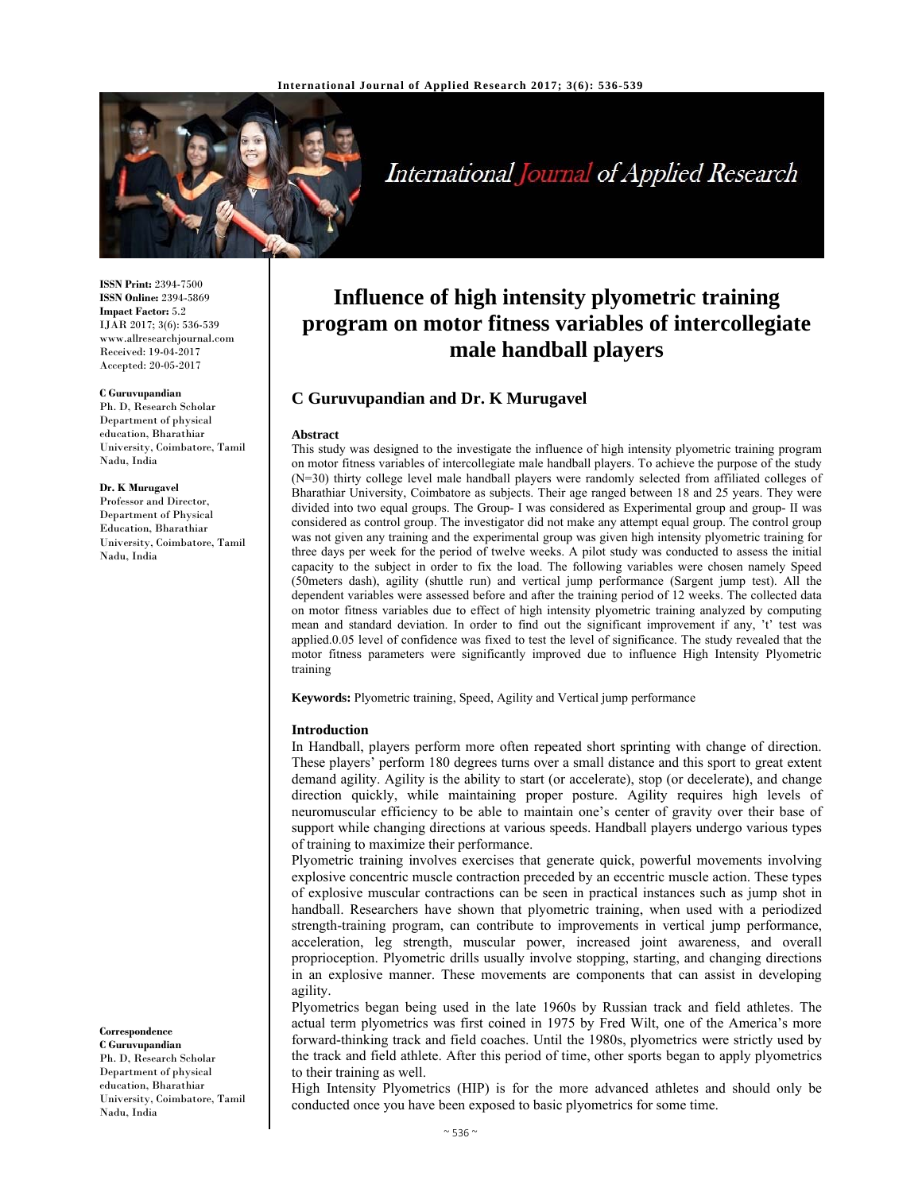

International Journal of Applied Research

**ISSN Print:** 2394-7500 **ISSN Online:** 2394-5869 **Impact Factor:** 5.2 IJAR 2017; 3(6): 536-539 www.allresearchjournal.com Received: 19-04-2017 Accepted: 20-05-2017

#### **C Guruvupandian**

Ph. D, Research Scholar Department of physical education, Bharathiar University, Coimbatore, Tamil Nadu, India

#### **Dr. K Murugavel**

Professor and Director, Department of Physical Education, Bharathiar University, Coimbatore, Tamil Nadu, India

**Influence of high intensity plyometric training program on motor fitness variables of intercollegiate male handball players**

# **C Guruvupandian and Dr. K Murugavel**

#### **Abstract**

This study was designed to the investigate the influence of high intensity plyometric training program on motor fitness variables of intercollegiate male handball players. To achieve the purpose of the study (N=30) thirty college level male handball players were randomly selected from affiliated colleges of Bharathiar University, Coimbatore as subjects. Their age ranged between 18 and 25 years. They were divided into two equal groups. The Group- I was considered as Experimental group and group- II was considered as control group. The investigator did not make any attempt equal group. The control group was not given any training and the experimental group was given high intensity plyometric training for three days per week for the period of twelve weeks. A pilot study was conducted to assess the initial capacity to the subject in order to fix the load. The following variables were chosen namely Speed (50meters dash), agility (shuttle run) and vertical jump performance (Sargent jump test). All the dependent variables were assessed before and after the training period of 12 weeks. The collected data on motor fitness variables due to effect of high intensity plyometric training analyzed by computing mean and standard deviation. In order to find out the significant improvement if any, 't' test was applied.0.05 level of confidence was fixed to test the level of significance. The study revealed that the motor fitness parameters were significantly improved due to influence High Intensity Plyometric training

**Keywords:** Plyometric training, Speed, Agility and Vertical jump performance

#### **Introduction**

In Handball, players perform more often repeated short sprinting with change of direction. These players' perform 180 degrees turns over a small distance and this sport to great extent demand agility. Agility is the ability to start (or accelerate), stop (or decelerate), and change direction quickly, while maintaining proper posture. Agility requires high levels of neuromuscular efficiency to be able to maintain one's center of gravity over their base of support while changing directions at various speeds. Handball players undergo various types of training to maximize their performance.

Plyometric training involves exercises that generate quick, powerful movements involving explosive concentric muscle contraction preceded by an eccentric muscle action. These types of explosive muscular contractions can be seen in practical instances such as jump shot in handball. Researchers have shown that plyometric training, when used with a periodized strength-training program, can contribute to improvements in vertical jump performance, acceleration, leg strength, muscular power, increased joint awareness, and overall proprioception. Plyometric drills usually involve stopping, starting, and changing directions in an explosive manner. These movements are components that can assist in developing agility.

Plyometrics began being used in the late 1960s by Russian track and field athletes. The actual term plyometrics was first coined in 1975 by Fred Wilt, one of the America's more forward-thinking track and field coaches. Until the 1980s, plyometrics were strictly used by the track and field athlete. After this period of time, other sports began to apply plyometrics to their training as well.

High Intensity Plyometrics (HIP) is for the more advanced athletes and should only be conducted once you have been exposed to basic plyometrics for some time.

### **Correspondence**

**C Guruvupandian**  Ph. D, Research Scholar Department of physical education, Bharathiar University, Coimbatore, Tamil Nadu, India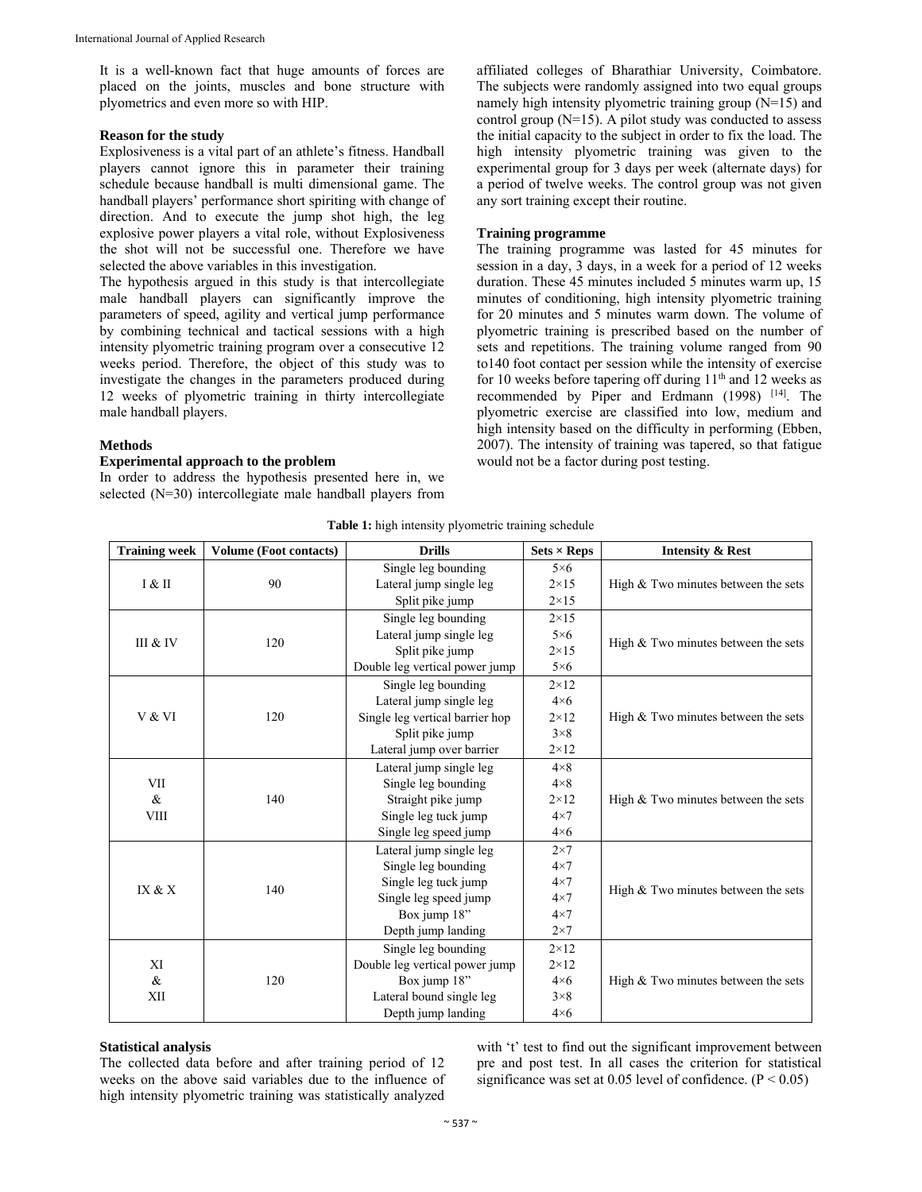It is a well-known fact that huge amounts of forces are placed on the joints, muscles and bone structure with plyometrics and even more so with HIP.

#### **Reason for the study**

Explosiveness is a vital part of an athlete's fitness. Handball players cannot ignore this in parameter their training schedule because handball is multi dimensional game. The handball players' performance short spiriting with change of direction. And to execute the jump shot high, the leg explosive power players a vital role, without Explosiveness the shot will not be successful one. Therefore we have selected the above variables in this investigation.

The hypothesis argued in this study is that intercollegiate male handball players can significantly improve the parameters of speed, agility and vertical jump performance by combining technical and tactical sessions with a high intensity plyometric training program over a consecutive 12 weeks period. Therefore, the object of this study was to investigate the changes in the parameters produced during 12 weeks of plyometric training in thirty intercollegiate male handball players.

affiliated colleges of Bharathiar University, Coimbatore. The subjects were randomly assigned into two equal groups namely high intensity plyometric training group (N=15) and control group  $(N=15)$ . A pilot study was conducted to assess the initial capacity to the subject in order to fix the load. The high intensity plyometric training was given to the experimental group for 3 days per week (alternate days) for a period of twelve weeks. The control group was not given any sort training except their routine.

### **Training programme**

The training programme was lasted for 45 minutes for session in a day, 3 days, in a week for a period of 12 weeks duration. These 45 minutes included 5 minutes warm up, 15 minutes of conditioning, high intensity plyometric training for 20 minutes and 5 minutes warm down. The volume of plyometric training is prescribed based on the number of sets and repetitions. The training volume ranged from 90 to140 foot contact per session while the intensity of exercise for 10 weeks before tapering off during  $11<sup>th</sup>$  and 12 weeks as recommended by Piper and Erdmann (1998) [14]. The plyometric exercise are classified into low, medium and high intensity based on the difficulty in performing (Ebben, 2007). The intensity of training was tapered, so that fatigue would not be a factor during post testing.

### **Methods**

# **Experimental approach to the problem**

In order to address the hypothesis presented here in, we selected (N=30) intercollegiate male handball players from

| <b>Training week</b>       | <b>Volume (Foot contacts)</b> | <b>Drills</b>                   | $Sets \times Reps$ | <b>Intensity &amp; Rest</b>           |  |  |
|----------------------------|-------------------------------|---------------------------------|--------------------|---------------------------------------|--|--|
| I & II                     | 90                            | Single leg bounding             | $5\times 6$        |                                       |  |  |
|                            |                               | Lateral jump single leg         | $2 \times 15$      | High $& Two minutes between the sets$ |  |  |
|                            |                               | Split pike jump                 | $2 \times 15$      |                                       |  |  |
| III & IV                   | 120                           | Single leg bounding             | $2 \times 15$      |                                       |  |  |
|                            |                               | Lateral jump single leg         | $5\times6$         | High $& Two minutes between the sets$ |  |  |
|                            |                               | Split pike jump                 | $2 \times 15$      |                                       |  |  |
|                            |                               | Double leg vertical power jump  | $5\times6$         |                                       |  |  |
| V & VI                     | 120                           | Single leg bounding             | $2 \times 12$      |                                       |  |  |
|                            |                               | Lateral jump single leg         | $4\times6$         |                                       |  |  |
|                            |                               | Single leg vertical barrier hop | $2 \times 12$      | High $& Two minutes between the sets$ |  |  |
|                            |                               | Split pike jump                 | $3\times8$         |                                       |  |  |
|                            |                               | Lateral jump over barrier       | $2 \times 12$      |                                       |  |  |
| VII<br>$\&$<br><b>VIII</b> | 140                           | Lateral jump single leg         | $4 \times 8$       |                                       |  |  |
|                            |                               | Single leg bounding             | $4\times8$         | High $&$ Two minutes between the sets |  |  |
|                            |                               | Straight pike jump              | $2 \times 12$      |                                       |  |  |
|                            |                               | Single leg tuck jump            | $4\times7$         |                                       |  |  |
|                            |                               | Single leg speed jump           | $4\times6$         |                                       |  |  |
|                            | 140                           | Lateral jump single leg         | $2\times7$         |                                       |  |  |
|                            |                               | Single leg bounding             | $4\times7$         |                                       |  |  |
| IX & X                     |                               | Single leg tuck jump            | $4\times7$         | High $& Two minutes between the sets$ |  |  |
|                            |                               | Single leg speed jump           | $4\times7$         |                                       |  |  |
|                            |                               | Box jump 18"                    | $4\times7$         |                                       |  |  |
|                            |                               | Depth jump landing              | $2\times7$         |                                       |  |  |
| XI<br>$\&$<br>XII          | 120                           | Single leg bounding             | $2 \times 12$      |                                       |  |  |
|                            |                               | Double leg vertical power jump  | $2 \times 12$      |                                       |  |  |
|                            |                               | Box jump 18"                    | $4\times6$         | High $& Two minutes between the sets$ |  |  |
|                            |                               | Lateral bound single leg        | $3\times8$         |                                       |  |  |
|                            |                               | Depth jump landing              | $4\times6$         |                                       |  |  |

### **Statistical analysis**

The collected data before and after training period of 12 weeks on the above said variables due to the influence of high intensity plyometric training was statistically analyzed

with 't' test to find out the significant improvement between pre and post test. In all cases the criterion for statistical significance was set at 0.05 level of confidence.  $(P < 0.05)$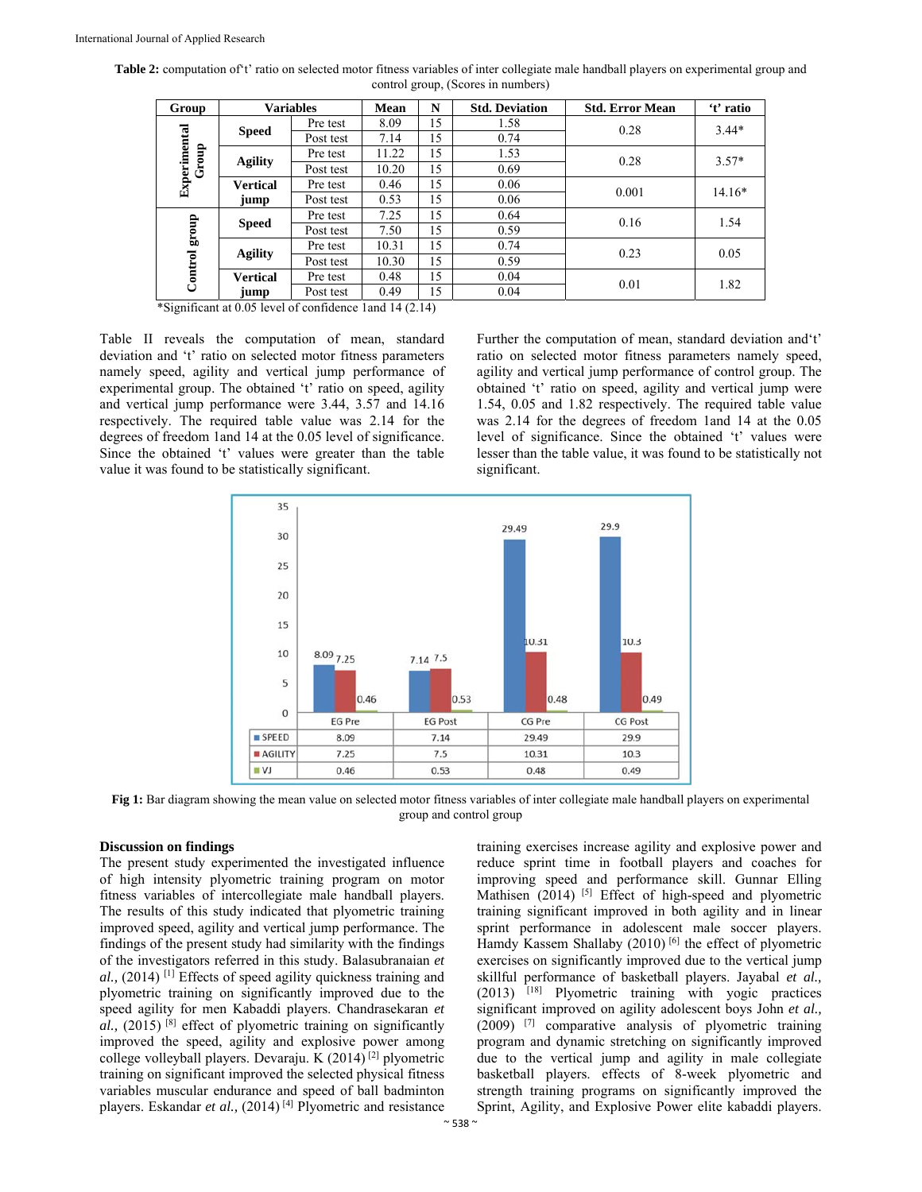| Group                 | <b>Variables</b>        |           | <b>Mean</b> | N  | <b>Std. Deviation</b> | <b>Std. Error Mean</b> | 't' ratio |
|-----------------------|-------------------------|-----------|-------------|----|-----------------------|------------------------|-----------|
| Experimental<br>Group | <b>Speed</b>            | Pre test  | 8.09        | 15 | 1.58                  | 0.28                   | $3.44*$   |
|                       |                         | Post test | 7.14        | 15 | 0.74                  |                        |           |
|                       | <b>Agility</b>          | Pre test  | 11.22       | 15 | 1.53                  | 0.28                   | $3.57*$   |
|                       |                         | Post test | 10.20       | 15 | 0.69                  |                        |           |
|                       | <b>Vertical</b><br>jump | Pre test  | 0.46        | 15 | 0.06                  | 0.001                  | $14.16*$  |
|                       |                         | Post test | 0.53        | 15 | 0.06                  |                        |           |
| group<br>Control      | <b>Speed</b>            | Pre test  | 7.25        | 15 | 0.64                  | 0.16                   | 1.54      |
|                       |                         | Post test | 7.50        | 15 | 0.59                  |                        |           |
|                       | <b>Agility</b>          | Pre test  | 10.31       | 15 | 0.74                  | 0.23                   | 0.05      |
|                       |                         | Post test | 10.30       | 15 | 0.59                  |                        |           |
|                       | <b>Vertical</b>         | Pre test  | 0.48        | 15 | 0.04                  | 0.01                   | 1.82      |
|                       | jump                    | Post test | 0.49        | 15 | 0.04                  |                        |           |

Table 2: computation of t' ratio on selected motor fitness variables of inter collegiate male handball players on experimental group and control group, (Scores in numbers)

\*Significant at 0.05 level of confidence 1and 14 (2.14)

Table II reveals the computation of mean, standard deviation and 't' ratio on selected motor fitness parameters namely speed, agility and vertical jump performance of experimental group. The obtained 't' ratio on speed, agility and vertical jump performance were 3.44, 3.57 and 14.16 respectively. The required table value was 2.14 for the degrees of freedom 1and 14 at the 0.05 level of significance. Since the obtained 't' values were greater than the table value it was found to be statistically significant.

Further the computation of mean, standard deviation and't' ratio on selected motor fitness parameters namely speed, agility and vertical jump performance of control group. The obtained 't' ratio on speed, agility and vertical jump were 1.54, 0.05 and 1.82 respectively. The required table value was 2.14 for the degrees of freedom 1and 14 at the 0.05 level of significance. Since the obtained 't' values were lesser than the table value, it was found to be statistically not significant.



Fig 1: Bar diagram showing the mean value on selected motor fitness variables of inter collegiate male handball players on experimental group and control group

## **Discussion on findings**

The present study experimented the investigated influence of high intensity plyometric training program on motor fitness variables of intercollegiate male handball players. The results of this study indicated that plyometric training improved speed, agility and vertical jump performance. The findings of the present study had similarity with the findings of the investigators referred in this study. Balasubranaian *et al.,* (2014) [1] Effects of speed agility quickness training and plyometric training on significantly improved due to the speed agility for men Kabaddi players. Chandrasekaran *et al.,* (2015) [8] effect of plyometric training on significantly improved the speed, agility and explosive power among college volleyball players. Devaraju. K (2014) [2] plyometric training on significant improved the selected physical fitness variables muscular endurance and speed of ball badminton players. Eskandar *et al.,* (2014) [4] Plyometric and resistance training exercises increase agility and explosive power and reduce sprint time in football players and coaches for improving speed and performance skill. Gunnar Elling Mathisen  $(2014)$  <sup>[5]</sup> Effect of high-speed and plyometric training significant improved in both agility and in linear sprint performance in adolescent male soccer players. Hamdy Kassem Shallaby (2010)<sup>[6]</sup> the effect of plyometric exercises on significantly improved due to the vertical jump skillful performance of basketball players. Jayabal *et al.,* (2013) [18] Plyometric training with yogic practices significant improved on agility adolescent boys John *et al.,* (2009) [7] comparative analysis of plyometric training program and dynamic stretching on significantly improved due to the vertical jump and agility in male collegiate basketball players. effects of 8-week plyometric and strength training programs on significantly improved the Sprint, Agility, and Explosive Power elite kabaddi players.